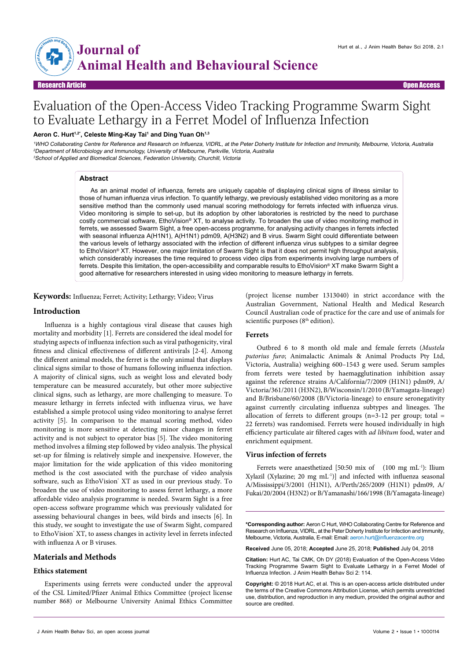

# Evaluation of the Open-Access Video Tracking Programme Swarm Sight to Evaluate Lethargy in a Ferret Model of Influenza Infection

# Aeron C. Hurt<sup>1,2\*</sup>, Celeste Ming-Kay Tai<sup>1</sup> and Ding Yuan Oh<sup>1,3</sup>

<sup>1</sup>WHO Collaborating Centre for Reference and Research on Influenza, VIDRL, at the Peter Doherty Institute for Infection and Immunity, Melbourne, Victoria, Australia <sup>2</sup>Department of Microbiology and Immunology, University of Melbourne, Parkville, Victoria, Australia <sup>3</sup>School of Applied and Biomedical Sciences, Federation University, Churchill, Victoria

#### **Abstract**

As an animal model of influenza, ferrets are uniquely capable of displaying clinical signs of illness similar to those of human influenza virus infection. To quantify lethargy, we previously established video monitoring as a more sensitive method than the commonly used manual scoring methodology for ferrets infected with influenza virus. Video monitoring is simple to set-up, but its adoption by other laboratories is restricted by the need to purchase costly commercial software, EthoVision® XT, to analyse activity. To broaden the use of video monitoring method in ferrets, we assessed Swarm Sight, a free open-access programme, for analysing activity changes in ferrets infected with seasonal influenza A(H1N1), A(H1N1) pdm09, A(H3N2) and B virus. Swarm Sight could differentiate between the various levels of lethargy associated with the infection of different influenza virus subtypes to a similar degree to EthoVision® XT. However, one major limitation of Swarm Sight is that it does not permit high throughput analysis, which considerably increases the time required to process video clips from experiments involving large numbers of ferrets. Despite this limitation, the open-accessibility and comparable results to EthoVision® XT make Swarm Sight a good alternative for researchers interested in using video monitoring to measure lethargy in ferrets.

**Keywords:** Influenza; Ferret; Activity; Lethargy; Video; Virus

## **Introduction**

Influenza is a highly contagious viral disease that causes high mortality and morbidity [1]. Ferrets are considered the ideal model for studying aspects of influenza infection such as viral pathogenicity, viral fitness and clinical effectiveness of different antivirals [2-4]. Among the different animal models, the ferret is the only animal that displays clinical signs similar to those of humans following influenza infection. A majority of clinical signs, such as weight loss and elevated body temperature can be measured accurately, but other more subjective clinical signs, such as lethargy, are more challenging to measure. To measure lethargy in ferrets infected with influenza virus, we have established a simple protocol using video monitoring to analyse ferret activity [5]. In comparison to the manual scoring method, video monitoring is more sensitive at detecting minor changes in ferret activity and is not subject to operator bias [5]. The video monitoring method involves a filming step followed by video analysis. The physical set-up for filming is relatively simple and inexpensive. However, the major limitation for the wide application of this video monitoring method is the cost associated with the purchase of video analysis software, such as EthoVision<sup>®</sup> XT as used in our previous study. To broaden the use of video monitoring to assess ferret lethargy, a more affordable video analysis programme is needed. Swarm Sight is a free open-access software programme which was previously validated for assessing behavioural changes in bees, wild birds and insects [6]. In this study, we sought to investigate the use of Swarm Sight, compared to EthoVision' XT, to assess changes in activity level in ferrets infected with influenza A or B viruses.

# **Materials and Methods**

# **Ethics statement**

Experiments using ferrets were conducted under the approval of the CSL Limited/Pfizer Animal Ethics Committee (project license number 868) or Melbourne University Animal Ethics Committee

(project license number 1313040) in strict accordance with the Australian Government, National Health and Medical Research Council Australian code of practice for the care and use of animals for scientific purposes (8<sup>th</sup> edition).

#### **Ferrets**

Outbred 6 to 8 month old male and female ferrets (*Mustela putorius furo*; Animalactic Animals & Animal Products Pty Ltd, Victoria, Australia) weighing 600–1543 g were used. Serum samples from ferrets were tested by haemagglutination inhibition assay against the reference strains A/California/7/2009 (H1N1) pdm09, A/ Victoria/361/2011 (H3N2), B/Wisconsin/1/2010 (B/Yamagata-lineage) and B/Brisbane/60/2008 (B/Victoria-lineage) to ensure seronegativity against currently circulating influenza subtypes and lineages. The allocation of ferrets to different groups ( $n=3-12$  per group; total = 22 ferrets) was randomised. Ferrets were housed individually in high efficiency particulate air filtered cages with *ad libitum* food, water and enrichment equipment.

#### **Virus infection of ferrets**

Ferrets were anaesthetized [50:50 mix of (100 mg mL<sup>-1</sup>): Ilium Xylazil (Xylazine; 20 mg mL-1)] and infected with influenza seasonal A/Mississippi/3/2001 (H1N1), A/Perth/265/2009 (H1N1) pdm09, A/ Fukai/20/2004 (H3N2) or B/Yamanashi/166/1998 (B/Yamagata-lineage)

**\*Corresponding author:** Aeron C Hurt, WHO Collaborating Centre for Reference and Research on Influenza, VIDRL, at the Peter Doherty Institute for Infection and Immunity, Melbourne, Victoria, Australia, E-mail: Email: aeron.hurt@influenzacentre.org

**Received** June 05, 2018; **Accepted** June 25, 2018; **Published** July 04, 2018

**Citation:** Hurt AC, Tai CMK, Oh DY (2018) Evaluation of the Open-Access Video Tracking Programme Swarm Sight to Evaluate Lethargy in a Ferret Model of Influenza Infection. J Anim Health Behav Sci 2: 114.

**Copyright:** © 2018 Hurt AC, et al. This is an open-access article distributed under the terms of the Creative Commons Attribution License, which permits unrestricted use, distribution, and reproduction in any medium, provided the original author and source are credited.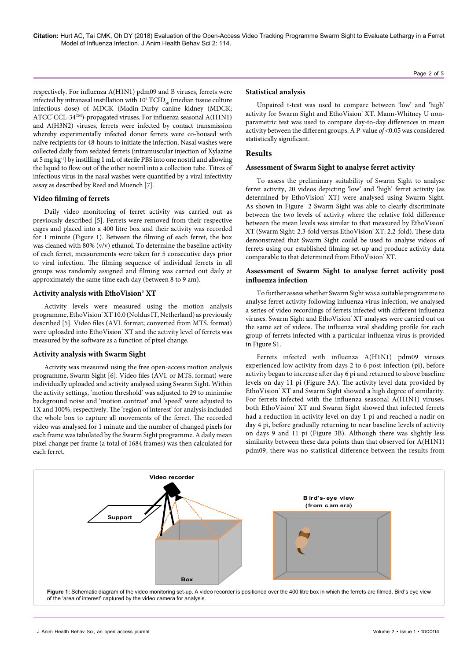**Citation:** Hurt AC, Tai CMK, Oh DY (2018) Evaluation of the Open-Access Video Tracking Programme Swarm Sight to Evaluate Lethargy in a Ferret Model of Influenza Infection. J Anim Health Behav Sci 2: 114.

respectively. For influenza A(H1N1) pdm09 and B viruses, ferrets were infected by intranasal instillation with  $10^{\rm 5}\, {\rm TCID}_{_{\rm S0}}$  (median tissue culture infectious dose) of MDCK (Madin-Darby canine kidney (MDCK; ATCC $^{\circ}$ CCL-34<sup>TM</sup>)-propagated viruses. For influenza seasonal A(H1N1) and A(H3N2) viruses, ferrets were infected by contact transmission whereby experimentally infected donor ferrets were co-housed with naïve recipients for 48-hours to initiate the infection. Nasal washes were collected daily from sedated ferrets (intramuscular injection of Xylazine at 5 mg kg-1) by instilling 1 mL of sterile PBS into one nostril and allowing the liquid to flow out of the other nostril into a collection tube. Titres of infectious virus in the nasal washes were quantified by a viral infectivity assay as described by Reed and Muench [7].

#### **Video filming of ferrets**

Daily video monitoring of ferret activity was carried out as previously described [5]. Ferrets were removed from their respective cages and placed into a 400 litre box and their activity was recorded for 1 minute (Figure 1). Between the filming of each ferret, the box was cleaned with 80% (v/v) ethanol. To determine the baseline activity of each ferret, measurements were taken for 5 consecutive days prior to viral infection. The filming sequence of individual ferrets in all groups was randomly assigned and filming was carried out daily at approximately the same time each day (between 8 to 9 am).

#### **Activity analysis with EthoVision® XT**

Activity levels were measured using the motion analysis programme, EthoVision® XT 10.0 (Noldus IT, Netherland) as previously described [5]. Video files (AVI. format; converted from MTS. format) were uploaded into EthoVision® XT and the activity level of ferrets was measured by the software as a function of pixel change.

#### **Activity analysis with Swarm Sight**

Activity was measured using the free open-access motion analysis programme, Swarm Sight [6]. Video files (AVI. or MTS. format) were individually uploaded and activity analysed using Swarm Sight. Within the activity settings, 'motion threshold' was adjusted to 29 to minimise background noise and 'motion contrast' and 'speed' were adjusted to 1X and 100%, respectively. The 'region of interest' for analysis included the whole box to capture all movements of the ferret. The recorded video was analysed for 1 minute and the number of changed pixels for each frame was tabulated by the Swarm Sight programme. A daily mean pixel change per frame (a total of 1684 frames) was then calculated for each ferret.

#### **Statistical analysis**

Unpaired t-test was used to compare between 'low' and 'high' activity for Swarm Sight and EthoVision' XT. Mann-Whitney U nonparametric test was used to compare day-to-day differences in mean activity between the different groups. A P-value *of* <0.05 was considered statistically significant.

# **Results**

#### **Assessment of Swarm Sight to analyse ferret activity**

To assess the preliminary suitability of Swarm Sight to analyse ferret activity, 20 videos depicting 'low' and 'high' ferret activity (as determined by EthoVision<sup>®</sup> XT) were analysed using Swarm Sight. As shown in Figure 2 Swarm Sight was able to clearly discriminate between the two levels of activity where the relative fold difference between the mean levels was similar to that measured by EthoVision® XT (Swarm Sight: 2.3-fold versus EthoVision® XT: 2.2-fold). These data demonstrated that Swarm Sight could be used to analyse videos of ferrets using our established filming set-up and produce activity data comparable to that determined from EthoVision® XT.

# **Assessment of Swarm Sight to analyse ferret activity post influenza infection**

To further assess whether Swarm Sight was a suitable programme to analyse ferret activity following influenza virus infection, we analysed a series of video recordings of ferrets infected with different influenza viruses. Swarm Sight and EthoVision' XT analyses were carried out on the same set of videos. The influenza viral shedding profile for each group of ferrets infected with a particular influenza virus is provided in Figure S1.

Ferrets infected with influenza A(H1N1) pdm09 viruses experienced low activity from days 2 to 6 post-infection (pi), before activity began to increase after day 6 pi and returned to above baseline levels on day 11 pi (Figure 3A). The activity level data provided by EthoVision' XT and Swarm Sight showed a high degree of similarity. For ferrets infected with the influenza seasonal A(H1N1) viruses, both EthoVision' XT and Swarm Sight showed that infected ferrets had a reduction in activity level on day 1 pi and reached a nadir on day 4 pi, before gradually returning to near baseline levels of activity on days 9 and 11 pi (Figure 3B). Although there was slightly less similarity between these data points than that observed for A(H1N1) pdm09, there was no statistical difference between the results from

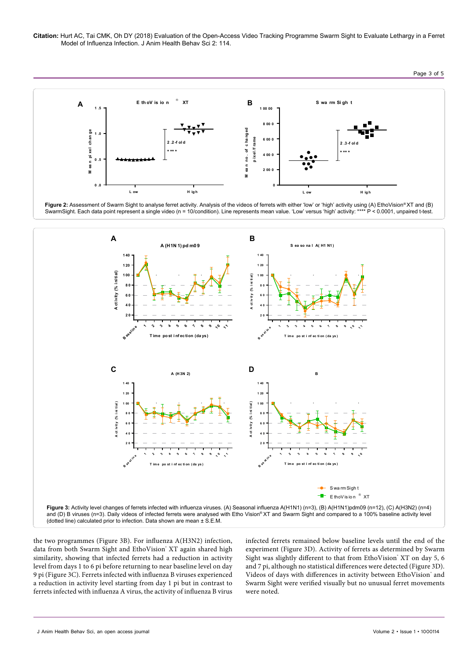**Citation:** Hurt AC, Tai CMK, Oh DY (2018) Evaluation of the Open-Access Video Tracking Programme Swarm Sight to Evaluate Lethargy in a Ferret Model of Influenza Infection. J Anim Health Behav Sci 2: 114.



Figure 2: Assessment of Swarm Sight to analyse ferret activity. Analysis of the videos of ferrets with either 'low' or 'high' activity using (A) EthoVision® XT and (B) SwarmSight. Each data point represent a single video (n = 10/condition). Line represents mean value. 'Low' versus 'high' activity: \*\*\*\* P < 0.0001, unpaired t-test.



the two programmes (Figure 3B). For influenza A(H3N2) infection, data from both Swarm Sight and EthoVision® XT again shared high similarity, showing that infected ferrets had a reduction in activity level from days 1 to 6 pi before returning to near baseline level on day 9 pi (Figure 3C). Ferrets infected with influenza B viruses experienced a reduction in activity level starting from day 1 pi but in contrast to ferrets infected with influenza A virus, the activity of influenza B virus

infected ferrets remained below baseline levels until the end of the experiment (Figure 3D). Activity of ferrets as determined by Swarm Sight was slightly different to that from EthoVision' XT on day 5, 6 and 7 pi, although no statistical differences were detected (Figure 3D). Videos of days with differences in activity between EthoVision' and Swarm Sight were verified visually but no unusual ferret movements were noted.

Page 3 of 5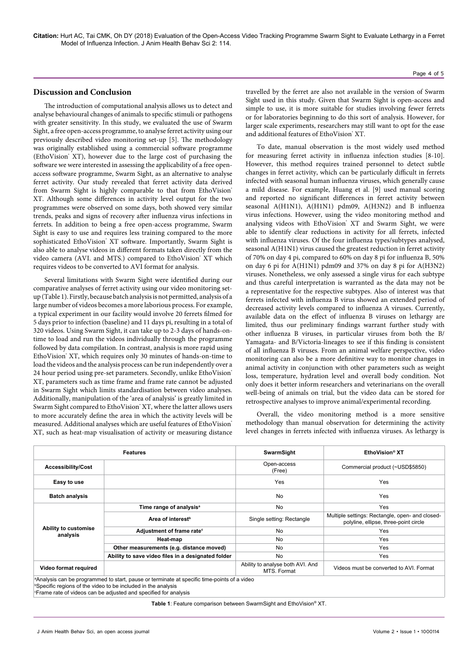# **Discussion and Conclusion**

The introduction of computational analysis allows us to detect and analyse behavioural changes of animals to specific stimuli or pathogens with greater sensitivity. In this study, we evaluated the use of Swarm Sight, a free open-access programme, to analyse ferret activity using our previously described video monitoring set-up [5]. The methodology was originally established using a commercial software programme (EthoVision® XT), however due to the large cost of purchasing the software we were interested in assessing the applicability of a free openaccess software programme, Swarm Sight, as an alternative to analyse ferret activity. Our study revealed that ferret activity data derived from Swarm Sight is highly comparable to that from EthoVision® XT. Although some differences in activity level output for the two programmes were observed on some days, both showed very similar trends, peaks and signs of recovery after influenza virus infections in ferrets. In addition to being a free open-access programme, Swarm Sight is easy to use and requires less training compared to the more sophisticated EthoVision<sup>®</sup> XT software. Importantly, Swarm Sight is also able to analyse videos in different formats taken directly from the video camera (AVI. and MTS.) compared to EthoVision' XT which requires videos to be converted to AVI format for analysis.

Several limitations with Swarm Sight were identified during our comparative analyses of ferret activity using our video monitoring setup (Table 1). Firstly, because batch analysis is not permitted, analysis of a large number of videos becomes a more laborious process. For example, a typical experiment in our facility would involve 20 ferrets filmed for 5 days prior to infection (baseline) and 11 days pi, resulting in a total of 320 videos. Using Swarm Sight, it can take up to 2-3 days of hands-ontime to load and run the videos individually through the programme followed by data compilation. In contrast, analysis is more rapid using EthoVision® XT, which requires only 30 minutes of hands-on-time to load the videos and the analysis process can be run independently over a 24 hour period using pre-set parameters. Secondly, unlike EthoVision® XT, parameters such as time frame and frame rate cannot be adjusted in Swarm Sight which limits standardisation between video analyses. Additionally, manipulation of the 'area of analysis' is greatly limited in Swarm Sight compared to EthoVision' XT, where the latter allows users to more accurately define the area in which the activity levels will be measured. Additional analyses which are useful features of EthoVision® XT, such as heat-map visualisation of activity or measuring distance travelled by the ferret are also not available in the version of Swarm Sight used in this study. Given that Swarm Sight is open-access and simple to use, it is more suitable for studies involving fewer ferrets or for laboratories beginning to do this sort of analysis. However, for larger scale experiments, researchers may still want to opt for the ease and additional features of EthoVision' XT.

To date, manual observation is the most widely used method for measuring ferret activity in influenza infection studies [8-10]. However, this method requires trained personnel to detect subtle changes in ferret activity, which can be particularly difficult in ferrets infected with seasonal human influenza viruses, which generally cause a mild disease. For example, Huang et al. [9] used manual scoring and reported no significant differences in ferret activity between seasonal A(H1N1), A(H1N1) pdm09, A(H3N2) and B influenza virus infections. However, using the video monitoring method and analysing videos with EthoVision<sup>®</sup> XT and Swarm Sight, we were able to identify clear reductions in activity for all ferrets, infected with influenza viruses. Of the four influenza types/subtypes analysed, seasonal A(H1N1) virus caused the greatest reduction in ferret activity of 70% on day 4 pi, compared to 60% on day 8 pi for influenza B, 50% on day 6 pi for A(H1N1) pdm09 and 37% on day 8 pi for A(H3N2) viruses. Nonetheless, we only assessed a single virus for each subtype and thus careful interpretation is warranted as the data may not be a representative for the respective subtypes. Also of interest was that ferrets infected with influenza B virus showed an extended period of decreased activity levels compared to influenza A viruses. Currently, available data on the effect of influenza B viruses on lethargy are limited, thus our preliminary findings warrant further study with other influenza B viruses, in particular viruses from both the B/ Yamagata- and B/Victoria-lineages to see if this finding is consistent of all influenza B viruses. From an animal welfare perspective, video monitoring can also be a more definitive way to monitor changes in animal activity in conjunction with other parameters such as weight loss, temperature, hydration level and overall body condition. Not only does it better inform researchers and veterinarians on the overall well-being of animals on trial, but the video data can be stored for retrospective analyses to improve animal/experimental recording.

Overall, the video monitoring method is a more sensitive methodology than manual observation for determining the activity level changes in ferrets infected with influenza viruses. As lethargy is

| <b>Features</b>                  |                                                                                                                                                                     | SwarmSight                                      | EthoVision <sup>®</sup> XT                                                               |
|----------------------------------|---------------------------------------------------------------------------------------------------------------------------------------------------------------------|-------------------------------------------------|------------------------------------------------------------------------------------------|
| <b>Accessibility/Cost</b>        |                                                                                                                                                                     | Open-access<br>(Free)                           | Commercial product (~USD\$5850)                                                          |
| Easy to use                      |                                                                                                                                                                     | Yes                                             | Yes                                                                                      |
| <b>Batch analysis</b>            |                                                                                                                                                                     | <b>No</b>                                       | Yes                                                                                      |
| Ability to customise<br>analysis | Time range of analysis <sup>a</sup>                                                                                                                                 | No                                              | Yes                                                                                      |
|                                  | Area of interest <sup>b</sup>                                                                                                                                       | Single setting: Rectangle                       | Multiple settings: Rectangle, open- and closed-<br>polyline, ellipse, three-point circle |
|                                  | Adjustment of frame rate <sup>c</sup>                                                                                                                               | <b>No</b>                                       | Yes                                                                                      |
|                                  | Heat-map                                                                                                                                                            | No.                                             | Yes                                                                                      |
|                                  | Other measurements (e.g. distance moved)                                                                                                                            | No                                              | Yes                                                                                      |
|                                  | Ability to save video files in a designated folder                                                                                                                  | No.                                             | Yes                                                                                      |
| Video format required            |                                                                                                                                                                     | Ability to analyse both AVI. And<br>MTS. Format | Videos must be converted to AVI. Format                                                  |
|                                  | a Analysis can be programmed to start, pause or terminate at specific time-points of a video<br><b>Specific regions of the video to be included in the analysis</b> |                                                 |                                                                                          |

c Frame rate of videos can be adjusted and specified for analysis

**Table 1**: Feature comparison between SwarmSight and EthoVision® XT.